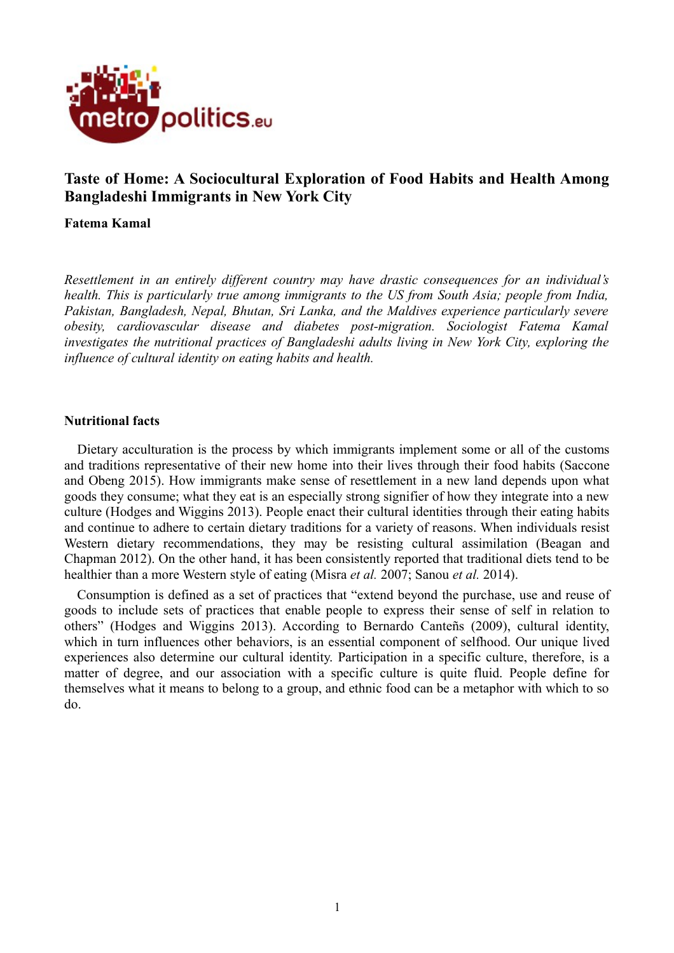

# **Taste of Home: A Sociocultural Exploration of Food Habits and Health Among Bangladeshi Immigrants in New York City**

#### **Fatema Kamal**

*Resettlement in an entirely different country may have drastic consequences for an individual's health. This is particularly true among immigrants to the US from South Asia; people from India, Pakistan, Bangladesh, Nepal, Bhutan, Sri Lanka, and the Maldives experience particularly severe obesity, cardiovascular disease and diabetes post-migration. Sociologist Fatema Kamal investigates the nutritional practices of Bangladeshi adults living in New York City, exploring the influence of cultural identity on eating habits and health.*

### **Nutritional facts**

Dietary acculturation is the process by which immigrants implement some or all of the customs and traditions representative of their new home into their lives through their food habits (Saccone and Obeng 2015). How immigrants make sense of resettlement in a new land depends upon what goods they consume; what they eat is an especially strong signifier of how they integrate into a new culture (Hodges and Wiggins 2013). People enact their cultural identities through their eating habits and continue to adhere to certain dietary traditions for a variety of reasons. When individuals resist Western dietary recommendations, they may be resisting cultural assimilation (Beagan and Chapman 2012). On the other hand, it has been consistently reported that traditional diets tend to be healthier than a more Western style of eating (Misra *et al.* 2007; Sanou *et al.* 2014).

Consumption is defined as a set of practices that "extend beyond the purchase, use and reuse of goods to include sets of practices that enable people to express their sense of self in relation to others" (Hodges and Wiggins 2013). According to Bernardo Canteñs (2009), cultural identity, which in turn influences other behaviors, is an essential component of selfhood. Our unique lived experiences also determine our cultural identity. Participation in a specific culture, therefore, is a matter of degree, and our association with a specific culture is quite fluid. People define for themselves what it means to belong to a group, and ethnic food can be a metaphor with which to so do.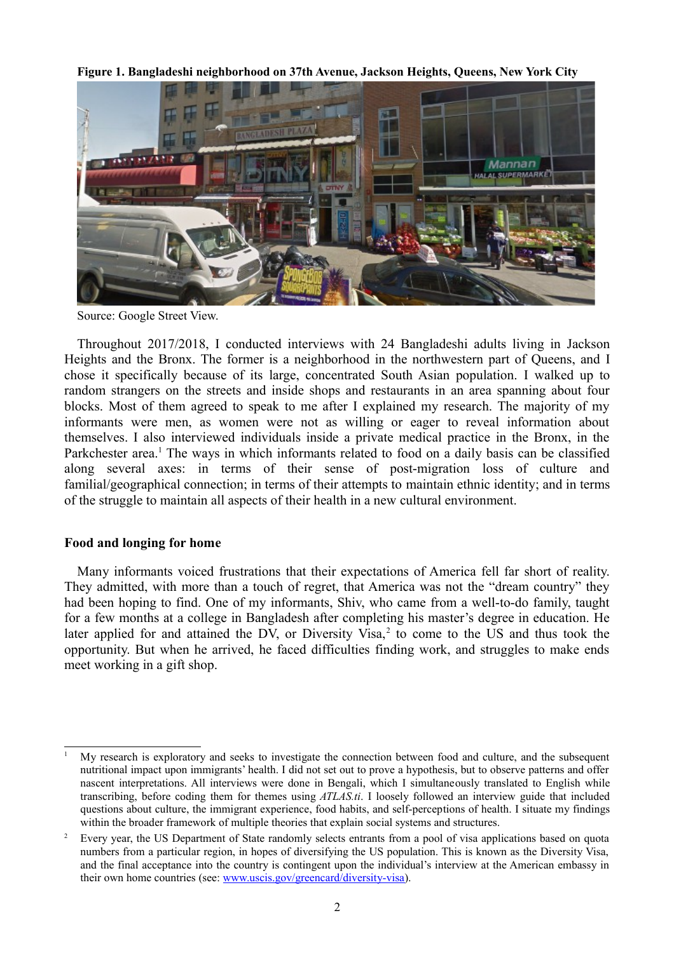**Figure 1. Bangladeshi neighborhood on 37th Avenue, Jackson Heights, Queens, New York City**



Source: Google Street View.

Throughout 2017/2018, I conducted interviews with 24 Bangladeshi adults living in Jackson Heights and the Bronx. The former is a neighborhood in the northwestern part of Queens, and I chose it specifically because of its large, concentrated South Asian population. I walked up to random strangers on the streets and inside shops and restaurants in an area spanning about four blocks. Most of them agreed to speak to me after I explained my research. The majority of my informants were men, as women were not as willing or eager to reveal information about themselves. I also interviewed individuals inside a private medical practice in the Bronx, in the Parkchester area.<sup>[1](#page-1-0)</sup> The ways in which informants related to food on a daily basis can be classified along several axes: in terms of their sense of post-migration loss of culture and familial/geographical connection; in terms of their attempts to maintain ethnic identity; and in terms of the struggle to maintain all aspects of their health in a new cultural environment.

#### **Food and longing for home**

Many informants voiced frustrations that their expectations of America fell far short of reality. They admitted, with more than a touch of regret, that America was not the "dream country" they had been hoping to find. One of my informants, Shiv, who came from a well-to-do family, taught for a few months at a college in Bangladesh after completing his master's degree in education. He later applied for and attained the DV, or Diversity Visa, $2$  to come to the US and thus took the opportunity. But when he arrived, he faced difficulties finding work, and struggles to make ends meet working in a gift shop.

<span id="page-1-0"></span><sup>1</sup> My research is exploratory and seeks to investigate the connection between food and culture, and the subsequent nutritional impact upon immigrants' health. I did not set out to prove a hypothesis, but to observe patterns and offer nascent interpretations. All interviews were done in Bengali, which I simultaneously translated to English while transcribing, before coding them for themes using *ATLAS.ti*. I loosely followed an interview guide that included questions about culture, the immigrant experience, food habits, and self-perceptions of health. I situate my findings within the broader framework of multiple theories that explain social systems and structures.

<span id="page-1-1"></span><sup>2</sup> Every year, the US Department of State randomly selects entrants from a pool of visa applications based on quota numbers from a particular region, in hopes of diversifying the US population. This is known as the Diversity Visa, and the final acceptance into the country is contingent upon the individual's interview at the American embassy in their own home countries (see: [www.uscis.gov/greencard/diversity-visa\)](http://www.uscis.gov/greencard/diversity-visa).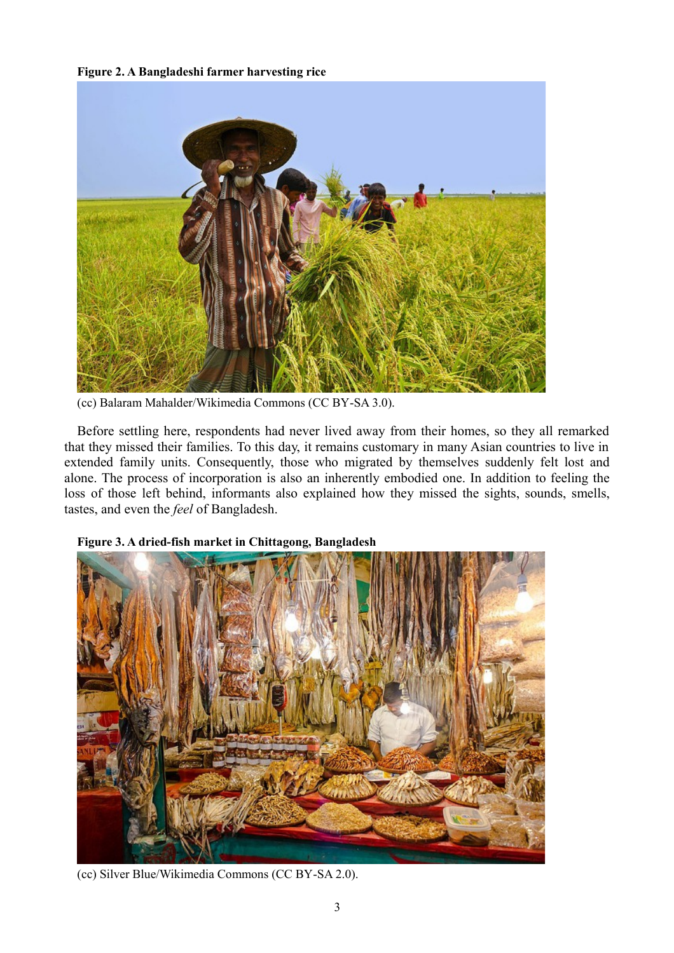#### **Figure 2. A Bangladeshi farmer harvesting rice**



(cc) Balaram Mahalder/Wikimedia Commons (CC BY-SA 3.0).

Before settling here, respondents had never lived away from their homes, so they all remarked that they missed their families. To this day, it remains customary in many Asian countries to live in extended family units. Consequently, those who migrated by themselves suddenly felt lost and alone. The process of incorporation is also an inherently embodied one. In addition to feeling the loss of those left behind, informants also explained how they missed the sights, sounds, smells, tastes, and even the *feel* of Bangladesh.



## **Figure 3. A dried-fish market in Chittagong, Bangladesh**

(cc) Silver Blue/Wikimedia Commons (CC BY-SA 2.0).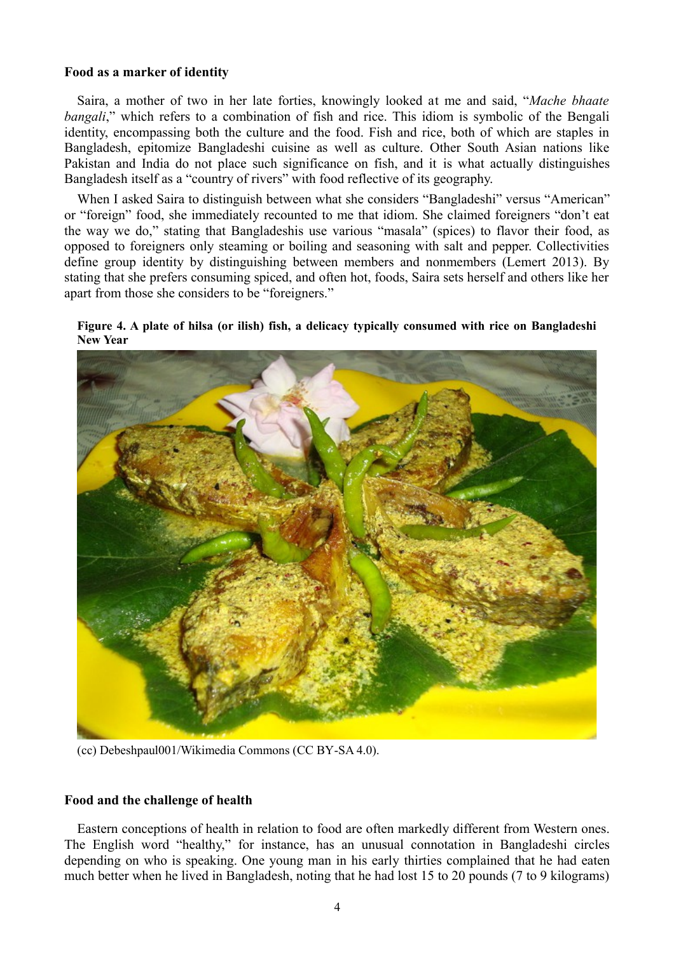#### **Food as a marker of identity**

Saira, a mother of two in her late forties, knowingly looked at me and said, "*Mache bhaate bangali*," which refers to a combination of fish and rice. This idiom is symbolic of the Bengali identity, encompassing both the culture and the food. Fish and rice, both of which are staples in Bangladesh, epitomize Bangladeshi cuisine as well as culture. Other South Asian nations like Pakistan and India do not place such significance on fish, and it is what actually distinguishes Bangladesh itself as a "country of rivers" with food reflective of its geography.

When I asked Saira to distinguish between what she considers "Bangladeshi" versus "American" or "foreign" food, she immediately recounted to me that idiom. She claimed foreigners "don't eat the way we do," stating that Bangladeshis use various "masala" (spices) to flavor their food, as opposed to foreigners only steaming or boiling and seasoning with salt and pepper. Collectivities define group identity by distinguishing between members and nonmembers (Lemert 2013). By stating that she prefers consuming spiced, and often hot, foods, Saira sets herself and others like her apart from those she considers to be "foreigners."





(cc) Debeshpaul001/Wikimedia Commons (CC BY-SA 4.0).

#### **Food and the challenge of health**

Eastern conceptions of health in relation to food are often markedly different from Western ones. The English word "healthy," for instance, has an unusual connotation in Bangladeshi circles depending on who is speaking. One young man in his early thirties complained that he had eaten much better when he lived in Bangladesh, noting that he had lost 15 to 20 pounds (7 to 9 kilograms)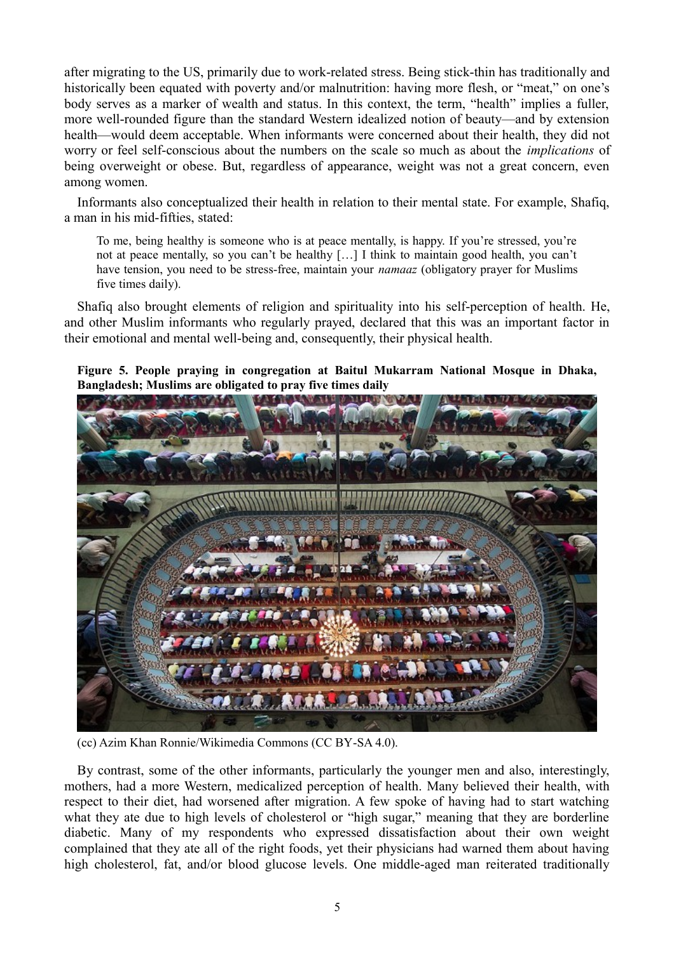after migrating to the US, primarily due to work-related stress. Being stick-thin has traditionally and historically been equated with poverty and/or malnutrition: having more flesh, or "meat," on one's body serves as a marker of wealth and status. In this context, the term, "health" implies a fuller, more well-rounded figure than the standard Western idealized notion of beauty—and by extension health—would deem acceptable. When informants were concerned about their health, they did not worry or feel self-conscious about the numbers on the scale so much as about the *implications* of being overweight or obese. But, regardless of appearance, weight was not a great concern, even among women.

Informants also conceptualized their health in relation to their mental state. For example, Shafiq, a man in his mid-fifties, stated:

To me, being healthy is someone who is at peace mentally, is happy. If you're stressed, you're not at peace mentally, so you can't be healthy […] I think to maintain good health, you can't have tension, you need to be stress-free, maintain your *namaaz* (obligatory prayer for Muslims five times daily).

Shafiq also brought elements of religion and spirituality into his self-perception of health. He, and other Muslim informants who regularly prayed, declared that this was an important factor in their emotional and mental well-being and, consequently, their physical health.

## **Figure 5. People praying in congregation at Baitul Mukarram National Mosque in Dhaka, Bangladesh; Muslims are obligated to pray five times daily**



(cc) Azim Khan Ronnie/Wikimedia Commons (CC BY-SA 4.0).

By contrast, some of the other informants, particularly the younger men and also, interestingly, mothers, had a more Western, medicalized perception of health. Many believed their health, with respect to their diet, had worsened after migration. A few spoke of having had to start watching what they ate due to high levels of cholesterol or "high sugar," meaning that they are borderline diabetic. Many of my respondents who expressed dissatisfaction about their own weight complained that they ate all of the right foods, yet their physicians had warned them about having high cholesterol, fat, and/or blood glucose levels. One middle-aged man reiterated traditionally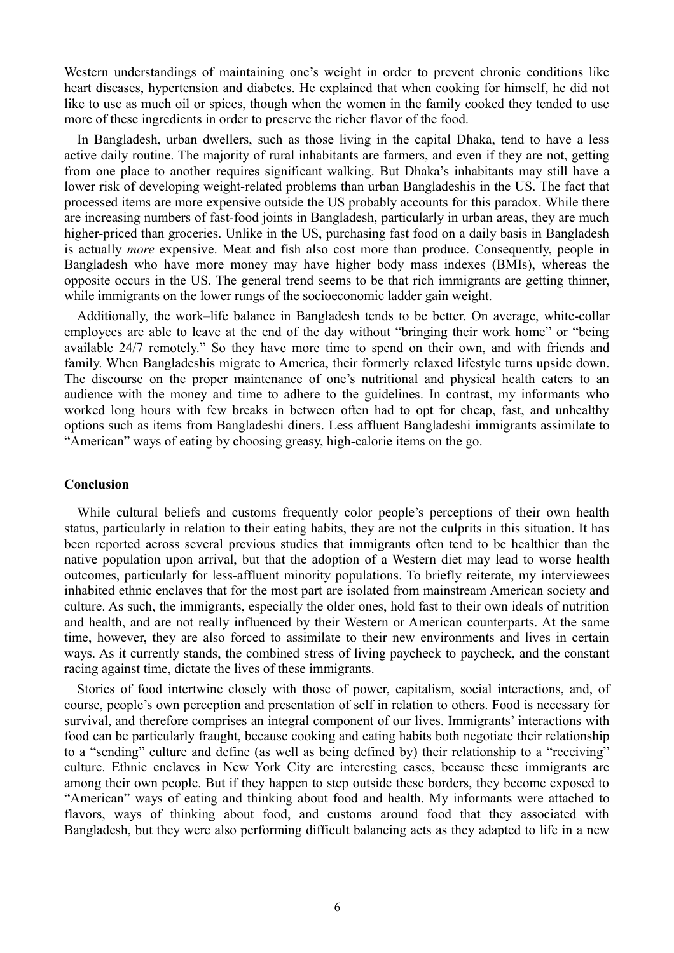Western understandings of maintaining one's weight in order to prevent chronic conditions like heart diseases, hypertension and diabetes. He explained that when cooking for himself, he did not like to use as much oil or spices, though when the women in the family cooked they tended to use more of these ingredients in order to preserve the richer flavor of the food.

In Bangladesh, urban dwellers, such as those living in the capital Dhaka, tend to have a less active daily routine. The majority of rural inhabitants are farmers, and even if they are not, getting from one place to another requires significant walking. But Dhaka's inhabitants may still have a lower risk of developing weight-related problems than urban Bangladeshis in the US. The fact that processed items are more expensive outside the US probably accounts for this paradox. While there are increasing numbers of fast-food joints in Bangladesh, particularly in urban areas, they are much higher-priced than groceries. Unlike in the US, purchasing fast food on a daily basis in Bangladesh is actually *more* expensive. Meat and fish also cost more than produce. Consequently, people in Bangladesh who have more money may have higher body mass indexes (BMIs), whereas the opposite occurs in the US. The general trend seems to be that rich immigrants are getting thinner, while immigrants on the lower rungs of the socioeconomic ladder gain weight.

Additionally, the work–life balance in Bangladesh tends to be better. On average, white-collar employees are able to leave at the end of the day without "bringing their work home" or "being available 24/7 remotely." So they have more time to spend on their own, and with friends and family. When Bangladeshis migrate to America, their formerly relaxed lifestyle turns upside down. The discourse on the proper maintenance of one's nutritional and physical health caters to an audience with the money and time to adhere to the guidelines. In contrast, my informants who worked long hours with few breaks in between often had to opt for cheap, fast, and unhealthy options such as items from Bangladeshi diners. Less affluent Bangladeshi immigrants assimilate to "American" ways of eating by choosing greasy, high-calorie items on the go.

#### **Conclusion**

While cultural beliefs and customs frequently color people's perceptions of their own health status, particularly in relation to their eating habits, they are not the culprits in this situation. It has been reported across several previous studies that immigrants often tend to be healthier than the native population upon arrival, but that the adoption of a Western diet may lead to worse health outcomes, particularly for less-affluent minority populations. To briefly reiterate, my interviewees inhabited ethnic enclaves that for the most part are isolated from mainstream American society and culture. As such, the immigrants, especially the older ones, hold fast to their own ideals of nutrition and health, and are not really influenced by their Western or American counterparts. At the same time, however, they are also forced to assimilate to their new environments and lives in certain ways. As it currently stands, the combined stress of living paycheck to paycheck, and the constant racing against time, dictate the lives of these immigrants.

Stories of food intertwine closely with those of power, capitalism, social interactions, and, of course, people's own perception and presentation of self in relation to others. Food is necessary for survival, and therefore comprises an integral component of our lives. Immigrants' interactions with food can be particularly fraught, because cooking and eating habits both negotiate their relationship to a "sending" culture and define (as well as being defined by) their relationship to a "receiving" culture. Ethnic enclaves in New York City are interesting cases, because these immigrants are among their own people. But if they happen to step outside these borders, they become exposed to "American" ways of eating and thinking about food and health. My informants were attached to flavors, ways of thinking about food, and customs around food that they associated with Bangladesh, but they were also performing difficult balancing acts as they adapted to life in a new